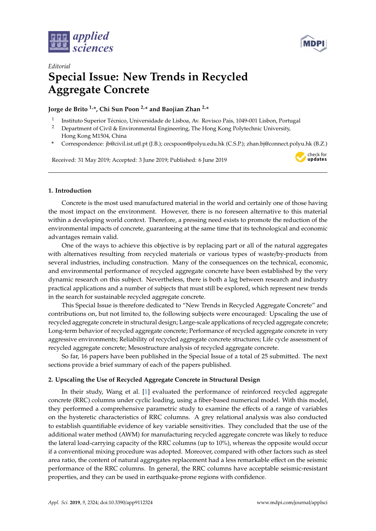



# *Editorial* **Special Issue: New Trends in Recycled Aggregate Concrete**

# **Jorge de Brito 1,\*, Chi Sun Poon 2,\* and Baojian Zhan 2,\***

- 1 Instituto Superior Técnico, Universidade de Lisboa, Av. Rovisco Pais, 1049-001 Lisbon, Portugal
- <sup>2</sup> Department of Civil & Environmental Engineering, The Hong Kong Polytechnic University, Hong Kong M1504, China
- **\*** Correspondence: jb@civil.ist.utl.pt (J.B.); cecspoon@polyu.edu.hk (C.S.P.); zhan.bj@connect.polyu.hk (B.Z.)

Received: 31 May 2019; Accepted: 3 June 2019; Published: 6 June 2019



## **1. Introduction**

Concrete is the most used manufactured material in the world and certainly one of those having the most impact on the environment. However, there is no foreseen alternative to this material within a developing world context. Therefore, a pressing need exists to promote the reduction of the environmental impacts of concrete, guaranteeing at the same time that its technological and economic advantages remain valid.

One of the ways to achieve this objective is by replacing part or all of the natural aggregates with alternatives resulting from recycled materials or various types of waste/by-products from several industries, including construction. Many of the consequences on the technical, economic, and environmental performance of recycled aggregate concrete have been established by the very dynamic research on this subject. Nevertheless, there is both a lag between research and industry practical applications and a number of subjects that must still be explored, which represent new trends in the search for sustainable recycled aggregate concrete.

This Special Issue is therefore dedicated to "New Trends in Recycled Aggregate Concrete" and contributions on, but not limited to, the following subjects were encouraged: Upscaling the use of recycled aggregate concrete in structural design; Large-scale applications of recycled aggregate concrete; Long-term behavior of recycled aggregate concrete; Performance of recycled aggregate concrete in very aggressive environments; Reliability of recycled aggregate concrete structures; Life cycle assessment of recycled aggregate concrete; Mesostructure analysis of recycled aggregate concrete.

So far, 16 papers have been published in the Special Issue of a total of 25 submitted. The next sections provide a brief summary of each of the papers published.

# **2. Upscaling the Use of Recycled Aggregate Concrete in Structural Design**

In their study, Wang et al. [\[1\]](#page-3-0) evaluated the performance of reinforced recycled aggregate concrete (RRC) columns under cyclic loading, using a fiber-based numerical model. With this model, they performed a comprehensive parametric study to examine the effects of a range of variables on the hysteretic characteristics of RRC columns. A grey relational analysis was also conducted to establish quantifiable evidence of key variable sensitivities. They concluded that the use of the additional water method (AWM) for manufacturing recycled aggregate concrete was likely to reduce the lateral load-carrying capacity of the RRC columns (up to 10%), whereas the opposite would occur if a conventional mixing procedure was adopted. Moreover, compared with other factors such as steel area ratio, the content of natural aggregates replacement had a less remarkable effect on the seismic performance of the RRC columns. In general, the RRC columns have acceptable seismic-resistant properties, and they can be used in earthquake-prone regions with confidence.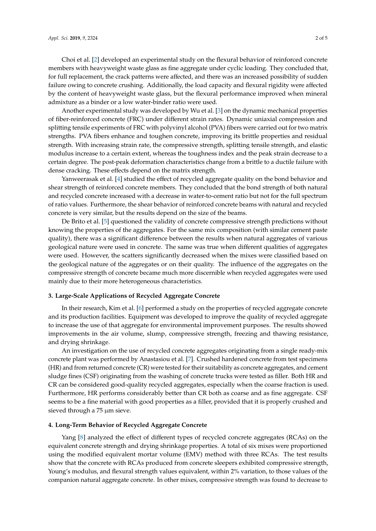Choi et al. [\[2\]](#page-3-1) developed an experimental study on the flexural behavior of reinforced concrete members with heavyweight waste glass as fine aggregate under cyclic loading. They concluded that, for full replacement, the crack patterns were affected, and there was an increased possibility of sudden failure owing to concrete crushing. Additionally, the load capacity and flexural rigidity were affected by the content of heavyweight waste glass, but the flexural performance improved when mineral admixture as a binder or a low water-binder ratio were used.

Another experimental study was developed by Wu et al. [\[3\]](#page-3-2) on the dynamic mechanical properties of fiber-reinforced concrete (FRC) under different strain rates. Dynamic uniaxial compression and splitting tensile experiments of FRC with polyvinyl alcohol (PVA) fibers were carried out for two matrix strengths. PVA fibers enhance and toughen concrete, improving its brittle properties and residual strength. With increasing strain rate, the compressive strength, splitting tensile strength, and elastic modulus increase to a certain extent, whereas the toughness index and the peak strain decrease to a certain degree. The post-peak deformation characteristics change from a brittle to a ductile failure with dense cracking. These effects depend on the matrix strength.

Yanweerasak et al. [\[4\]](#page-3-3) studied the effect of recycled aggregate quality on the bond behavior and shear strength of reinforced concrete members. They concluded that the bond strength of both natural and recycled concrete increased with a decrease in water-to-cement ratio but not for the full spectrum of ratio values. Furthermore, the shear behavior of reinforced concrete beams with natural and recycled concrete is very similar, but the results depend on the size of the beams.

De Brito et al. [\[5\]](#page-3-4) questioned the validity of concrete compressive strength predictions without knowing the properties of the aggregates. For the same mix composition (with similar cement paste quality), there was a significant difference between the results when natural aggregates of various geological nature were used in concrete. The same was true when different qualities of aggregates were used. However, the scatters significantly decreased when the mixes were classified based on the geological nature of the aggregates or on their quality. The influence of the aggregates on the compressive strength of concrete became much more discernible when recycled aggregates were used mainly due to their more heterogeneous characteristics.

#### **3. Large-Scale Applications of Recycled Aggregate Concrete**

In their research, Kim et al. [\[6\]](#page-3-5) performed a study on the properties of recycled aggregate concrete and its production facilities. Equipment was developed to improve the quality of recycled aggregate to increase the use of that aggregate for environmental improvement purposes. The results showed improvements in the air volume, slump, compressive strength, freezing and thawing resistance, and drying shrinkage.

An investigation on the use of recycled concrete aggregates originating from a single ready-mix concrete plant was performed by Anastasiou et al. [\[7\]](#page-3-6). Crushed hardened concrete from test specimens (HR) and from returned concrete (CR) were tested for their suitability as concrete aggregates, and cement sludge fines (CSF) originating from the washing of concrete trucks were tested as filler. Both HR and CR can be considered good-quality recycled aggregates, especially when the coarse fraction is used. Furthermore, HR performs considerably better than CR both as coarse and as fine aggregate. CSF seems to be a fine material with good properties as a filler, provided that it is properly crushed and sieved through a 75 µm sieve.

#### **4. Long-Term Behavior of Recycled Aggregate Concrete**

Yang [\[8\]](#page-3-7) analyzed the effect of different types of recycled concrete aggregates (RCAs) on the equivalent concrete strength and drying shrinkage properties. A total of six mixes were proportioned using the modified equivalent mortar volume (EMV) method with three RCAs. The test results show that the concrete with RCAs produced from concrete sleepers exhibited compressive strength, Young's modulus, and flexural strength values equivalent, within 2% variation, to those values of the companion natural aggregate concrete. In other mixes, compressive strength was found to decrease to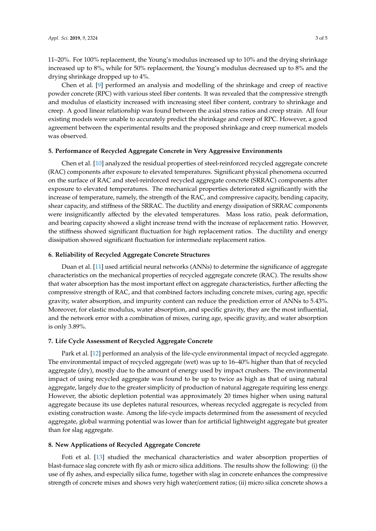11–20%. For 100% replacement, the Young's modulus increased up to 10% and the drying shrinkage increased up to 8%, while for 50% replacement, the Young's modulus decreased up to 8% and the drying shrinkage dropped up to 4%.

Chen et al. [\[9\]](#page-4-0) performed an analysis and modelling of the shrinkage and creep of reactive powder concrete (RPC) with various steel fiber contents. It was revealed that the compressive strength and modulus of elasticity increased with increasing steel fiber content, contrary to shrinkage and creep. A good linear relationship was found between the axial stress ratios and creep strain. All four existing models were unable to accurately predict the shrinkage and creep of RPC. However, a good agreement between the experimental results and the proposed shrinkage and creep numerical models was observed.

#### **5. Performance of Recycled Aggregate Concrete in Very Aggressive Environments**

Chen et al. [\[10\]](#page-4-1) analyzed the residual properties of steel-reinforced recycled aggregate concrete (RAC) components after exposure to elevated temperatures. Significant physical phenomena occurred on the surface of RAC and steel-reinforced recycled aggregate concrete (SRRAC) components after exposure to elevated temperatures. The mechanical properties deteriorated significantly with the increase of temperature, namely, the strength of the RAC, and compressive capacity, bending capacity, shear capacity, and stiffness of the SRRAC. The ductility and energy dissipation of SRRAC components were insignificantly affected by the elevated temperatures. Mass loss ratio, peak deformation, and bearing capacity showed a slight increase trend with the increase of replacement ratio. However, the stiffness showed significant fluctuation for high replacement ratios. The ductility and energy dissipation showed significant fluctuation for intermediate replacement ratios.

#### **6. Reliability of Recycled Aggregate Concrete Structures**

Duan et al. [\[11\]](#page-4-2) used artificial neural networks (ANNs) to determine the significance of aggregate characteristics on the mechanical properties of recycled aggregate concrete (RAC). The results show that water absorption has the most important effect on aggregate characteristics, further affecting the compressive strength of RAC, and that combined factors including concrete mixes, curing age, specific gravity, water absorption, and impurity content can reduce the prediction error of ANNs to 5.43%. Moreover, for elastic modulus, water absorption, and specific gravity, they are the most influential, and the network error with a combination of mixes, curing age, specific gravity, and water absorption is only 3.89%.

### **7. Life Cycle Assessment of Recycled Aggregate Concrete**

Park et al. [\[12\]](#page-4-3) performed an analysis of the life-cycle environmental impact of recycled aggregate. The environmental impact of recycled aggregate (wet) was up to 16–40% higher than that of recycled aggregate (dry), mostly due to the amount of energy used by impact crushers. The environmental impact of using recycled aggregate was found to be up to twice as high as that of using natural aggregate, largely due to the greater simplicity of production of natural aggregate requiring less energy. However, the abiotic depletion potential was approximately 20 times higher when using natural aggregate because its use depletes natural resources, whereas recycled aggregate is recycled from existing construction waste. Among the life-cycle impacts determined from the assessment of recycled aggregate, global warming potential was lower than for artificial lightweight aggregate but greater than for slag aggregate.

#### **8. New Applications of Recycled Aggregate Concrete**

Foti et al. [\[13\]](#page-4-4) studied the mechanical characteristics and water absorption properties of blast-furnace slag concrete with fly ash or micro silica additions. The results show the following: (i) the use of fly ashes, and especially silica fume, together with slag in concrete enhances the compressive strength of concrete mixes and shows very high water/cement ratios; (ii) micro silica concrete shows a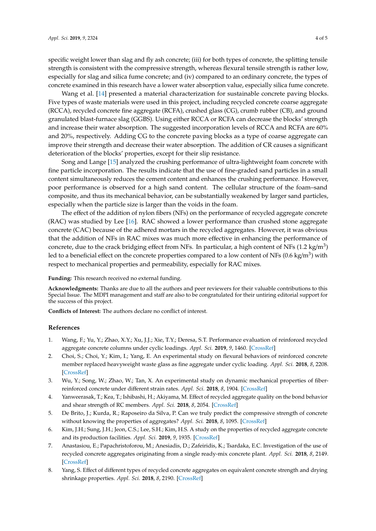specific weight lower than slag and fly ash concrete; (iii) for both types of concrete, the splitting tensile strength is consistent with the compressive strength, whereas flexural tensile strength is rather low, especially for slag and silica fume concrete; and (iv) compared to an ordinary concrete, the types of concrete examined in this research have a lower water absorption value, especially silica fume concrete.

Wang et al. [\[14\]](#page-4-5) presented a material characterization for sustainable concrete paving blocks. Five types of waste materials were used in this project, including recycled concrete coarse aggregate (RCCA), recycled concrete fine aggregate (RCFA), crushed glass (CG), crumb rubber (CB), and ground granulated blast-furnace slag (GGBS). Using either RCCA or RCFA can decrease the blocks' strength and increase their water absorption. The suggested incorporation levels of RCCA and RCFA are 60% and 20%, respectively. Adding CG to the concrete paving blocks as a type of coarse aggregate can improve their strength and decrease their water absorption. The addition of CR causes a significant deterioration of the blocks' properties, except for their slip resistance.

Song and Lange [\[15\]](#page-4-6) analyzed the crushing performance of ultra-lightweight foam concrete with fine particle incorporation. The results indicate that the use of fine-graded sand particles in a small content simultaneously reduces the cement content and enhances the crushing performance. However, poor performance is observed for a high sand content. The cellular structure of the foam–sand composite, and thus its mechanical behavior, can be substantially weakened by larger sand particles, especially when the particle size is larger than the voids in the foam.

The effect of the addition of nylon fibers (NFs) on the performance of recycled aggregate concrete (RAC) was studied by Lee [\[16\]](#page-4-7). RAC showed a lower performance than crushed stone aggregate concrete (CAC) because of the adhered mortars in the recycled aggregates. However, it was obvious that the addition of NFs in RAC mixes was much more effective in enhancing the performance of concrete, due to the crack bridging effect from NFs. In particular, a high content of NFs (1.2 kg/m<sup>3</sup>) led to a beneficial effect on the concrete properties compared to a low content of NFs (0.6 kg/m $^3$ ) with respect to mechanical properties and permeability, especially for RAC mixes.

**Funding:** This research received no external funding.

**Acknowledgments:** Thanks are due to all the authors and peer reviewers for their valuable contributions to this Special Issue. The MDPI management and staff are also to be congratulated for their untiring editorial support for the success of this project.

**Conflicts of Interest:** The authors declare no conflict of interest.

#### **References**

- <span id="page-3-0"></span>1. Wang, F.; Yu, Y.; Zhao, X.Y.; Xu, J.J.; Xie, T.Y.; Deresa, S.T. Performance evaluation of reinforced recycled aggregate concrete columns under cyclic loadings. *Appl. Sci.* **2019**, *9*, 1460. [\[CrossRef\]](http://dx.doi.org/10.3390/app9071460)
- <span id="page-3-1"></span>2. Choi, S.; Choi, Y.; Kim, I.; Yang, E. An experimental study on flexural behaviors of reinforced concrete member replaced heavyweight waste glass as fine aggregate under cyclic loading. *Appl. Sci.* **2018**, *8*, 2208. [\[CrossRef\]](http://dx.doi.org/10.3390/app8112208)
- <span id="page-3-2"></span>3. Wu, Y.; Song, W.; Zhao, W.; Tan, X. An experimental study on dynamic mechanical properties of fiberreinforced concrete under different strain rates. *Appl. Sci.* **2018**, *8*, 1904. [\[CrossRef\]](http://dx.doi.org/10.3390/app8101904)
- <span id="page-3-3"></span>4. Yanweerasak, T.; Kea, T.; Ishibashi, H.; Akiyama, M. Effect of recycled aggregate quality on the bond behavior and shear strength of RC members. *Appl. Sci.* **2018**, *8*, 2054. [\[CrossRef\]](http://dx.doi.org/10.3390/app8112054)
- <span id="page-3-4"></span>5. De Brito, J.; Kurda, R.; Raposeiro da Silva, P. Can we truly predict the compressive strength of concrete without knowing the properties of aggregates? *Appl. Sci.* **2018**, *8*, 1095. [\[CrossRef\]](http://dx.doi.org/10.3390/app8071095)
- <span id="page-3-5"></span>6. Kim, J.H.; Sung, J.H.; Jeon, C.S.; Lee, S.H.; Kim, H.S. A study on the properties of recycled aggregate concrete and its production facilities. *Appl. Sci.* **2019**, *9*, 1935. [\[CrossRef\]](http://dx.doi.org/10.3390/app9091935)
- <span id="page-3-6"></span>7. Anastasiou, E.; Papachristoforou, M.; Anesiadis, D.; Zafeiridis, K.; Tsardaka, E.C. Investigation of the use of recycled concrete aggregates originating from a single ready-mix concrete plant. *Appl. Sci.* **2018**, *8*, 2149. [\[CrossRef\]](http://dx.doi.org/10.3390/app8112149)
- <span id="page-3-7"></span>8. Yang, S. Effect of different types of recycled concrete aggregates on equivalent concrete strength and drying shrinkage properties. *Appl. Sci.* **2018**, *8*, 2190. [\[CrossRef\]](http://dx.doi.org/10.3390/app8112190)